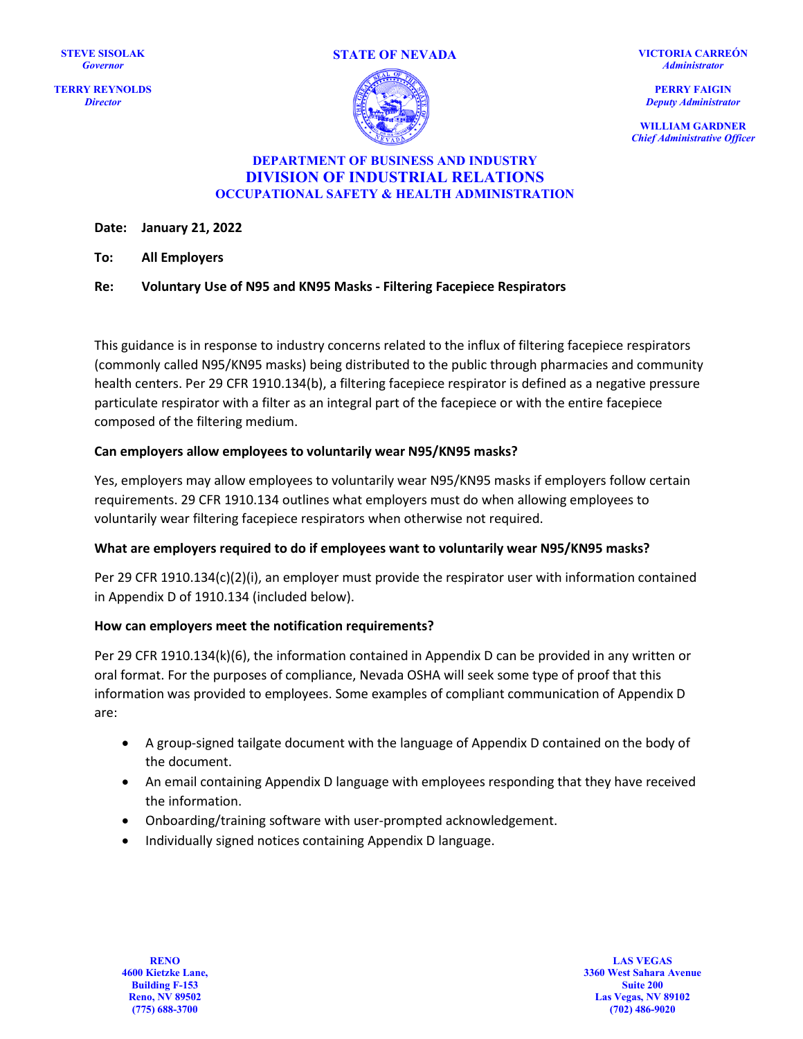**TERRY REYNOLDS** *Director*





**VICTORIA CARREÓN** *Administrator*

**PERRY FAIGIN** *Deputy Administrator*

**WILLIAM GARDNER** *Chief Administrative Officer*

#### **DEPARTMENT OF BUSINESS AND INDUSTRY DIVISION OF INDUSTRIAL RELATIONS OCCUPATIONAL SAFETY & HEALTH ADMINISTRATION**

**Date: January 21, 2022**

**To: All Employers**

**Re: Voluntary Use of N95 and KN95 Masks - Filtering Facepiece Respirators**

This guidance is in response to industry concerns related to the influx of filtering facepiece respirators (commonly called N95/KN95 masks) being distributed to the public through pharmacies and community health centers. Per 29 CFR 1910.134(b), a filtering facepiece respirator is defined as a negative pressure particulate respirator with a filter as an integral part of the facepiece or with the entire facepiece composed of the filtering medium.

### **Can employers allow employees to voluntarily wear N95/KN95 masks?**

Yes, employers may allow employees to voluntarily wear N95/KN95 masks if employers follow certain requirements. 29 CFR 1910.134 outlines what employers must do when allowing employees to voluntarily wear filtering facepiece respirators when otherwise not required.

#### **What are employers required to do if employees want to voluntarily wear N95/KN95 masks?**

Per 29 CFR 1910.134(c)(2)(i), an employer must provide the respirator user with information contained in Appendix D of 1910.134 (included below).

## **How can employers meet the notification requirements?**

Per 29 CFR 1910.134(k)(6), the information contained in Appendix D can be provided in any written or oral format. For the purposes of compliance, Nevada OSHA will seek some type of proof that this information was provided to employees. Some examples of compliant communication of Appendix D are:

- A group-signed tailgate document with the language of Appendix D contained on the body of the document.
- An email containing Appendix D language with employees responding that they have received the information.
- Onboarding/training software with user-prompted acknowledgement.
- Individually signed notices containing Appendix D language.

**RENO 4600 Kietzke Lane, Building F-153 Reno, NV 89502 (775) 688-3700**

**LAS VEGAS 3360 West Sahara Avenue Suite 200 Las Vegas, NV 89102 (702) 486-9020**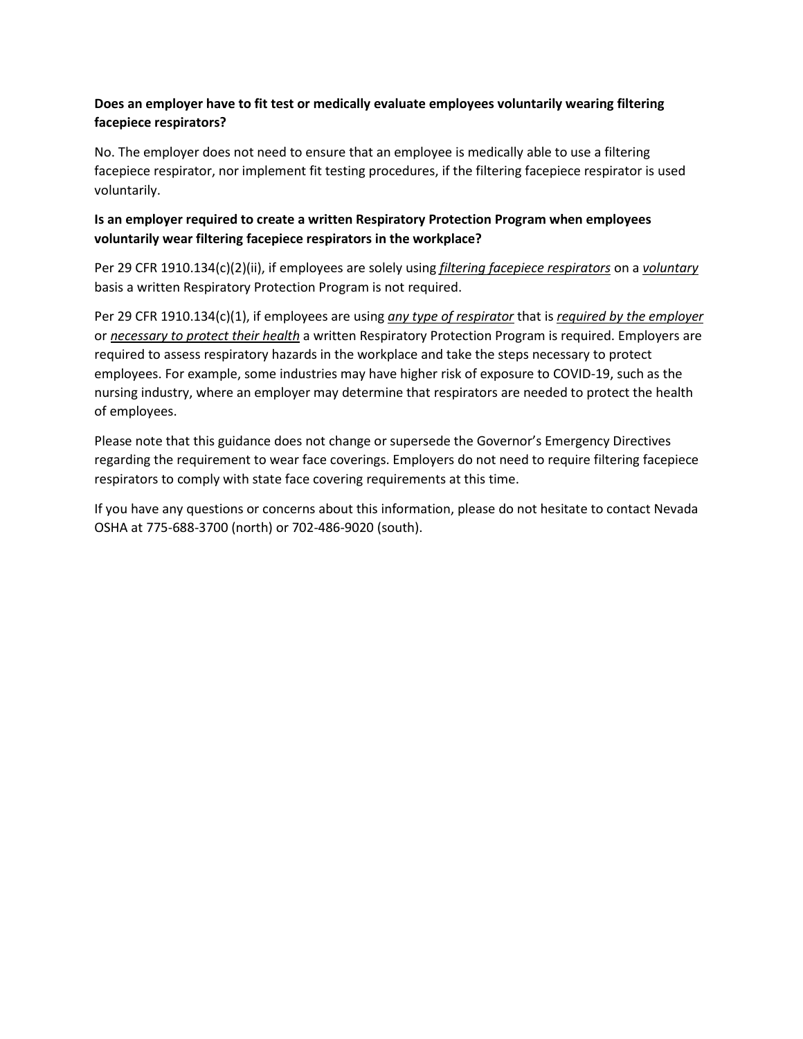# **Does an employer have to fit test or medically evaluate employees voluntarily wearing filtering facepiece respirators?**

No. The employer does not need to ensure that an employee is medically able to use a filtering facepiece respirator, nor implement fit testing procedures, if the filtering facepiece respirator is used voluntarily.

## **Is an employer required to create a written Respiratory Protection Program when employees voluntarily wear filtering facepiece respirators in the workplace?**

Per 29 CFR 1910.134(c)(2)(ii), if employees are solely using *filtering facepiece respirators* on a *voluntary* basis a written Respiratory Protection Program is not required.

Per 29 CFR 1910.134(c)(1), if employees are using *any type of respirator* that is *required by the employer* or *necessary to protect their health* a written Respiratory Protection Program is required. Employers are required to assess respiratory hazards in the workplace and take the steps necessary to protect employees. For example, some industries may have higher risk of exposure to COVID-19, such as the nursing industry, where an employer may determine that respirators are needed to protect the health of employees.

Please note that this guidance does not change or supersede the Governor's Emergency Directives regarding the requirement to wear face coverings. Employers do not need to require filtering facepiece respirators to comply with state face covering requirements at this time.

If you have any questions or concerns about this information, please do not hesitate to contact Nevada OSHA at 775-688-3700 (north) or 702-486-9020 (south).